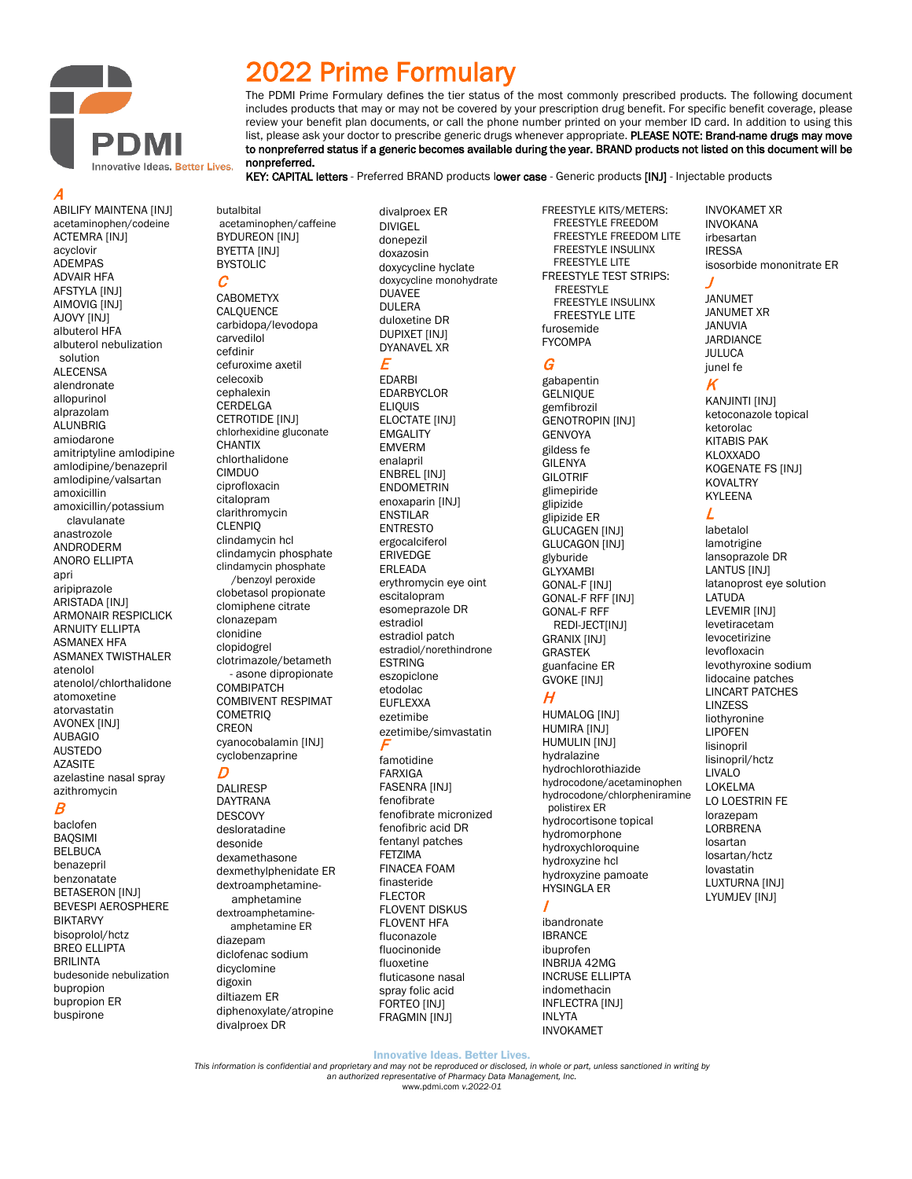

2022 Prime Formulary defines the tier status of the most commonly prescribed products. The following document includes products that may or may not be covered by your prescription drug benefit. For specific benefit coverage, please review your benefit plan documents, or call the phone number printed on your member ID card. In addition to using this list, please ask your doctor to prescribe generic drugs whenever appropriate. PLEASE NOTE: Brand-name drugs may move to nonpreferred status if a generic becomes available during the year. BRAND products not listed on this document will be nonpreferred.

KEY: CAPITAL letters - Preferred BRAND products lower case - Generic products [INJ] - Injectable products

A

ABILIFY MAINTENA [INJ] acetaminophen/codeine ACTEMRA [INJ] acyclovir ADEMPAS ADVAIR HFA AFSTYLA [INJ] AIMOVIG [INJ] AJOVY [INJ] albuterol HFA albuterol nebulization solution ALECENSA alendronate allopurinol alprazolam ALUNBRIG amiodarone amitriptyline amlodipine amlodipine/benazepril amlodipine/valsartan amoxicillin amoxicillin/potassium clavulanate anastrozole ANDRODERM ANORO ELLIPTA apri aripiprazole ARISTADA [INJ] ARMONAIR RESPICLICK ARNUITY ELLIPTA ASMANEX HFA ASMANEX TWISTHALER atenolol atenolol/chlorthalidone atomoxetine atorvastatin AVONEX [INJ] AUBAGIO AUSTEDO **AZASITE** azelastine nasal spray azithromycin

### B

baclofen BAQSIMI BELBUCA benazepril benzonatate BETASERON [INJ] BEVESPI AEROSPHERE BIKTARVY bisoprolol/hctz BREO ELLIPTA BRILINTA budesonide nebulization bupropion bupropion ER buspirone

acetaminophen/caffeine BYDUREON [INJ]

carbidopa/levodopa carvedilol cefdinir cefuroxime axetil celecoxib cephalexin **CERDELGA** CETROTIDE [INJ] chlorhexidine gluconate **CHANTIX** chlorthalidone CIMDUO ciprofloxacin citalopram clarithromycin CLENPIQ clindamycin hcl clindamycin phosphate clindamycin phosphate /benzoyl peroxide clobetasol propionate clomiphene citrate clonazepam clonidine clopidogrel clotrimazole/betameth - asone dipropionate **COMBIPATCH** COMBIVENT RESPIMAT **COMETRIQ** CREON cyanocobalamin [INJ] cyclobenzaprine

butalbital

BYETTA [INJ] **BYSTOLIC** C

CABOMETYX CALQUENCE

### D

DALIRESP DAYTRANA **DESCOVY** desloratadine desonide dexamethasone dexmethylphenidate ER dextroamphetamine amphetamine dextroamphetamine amphetamine ER diazepam diclofenac sodium dicyclomine digoxin diltiazem ER diphenoxylate/atropine divalproex DR

divalproex ER DIVIGEL donepezil doxazosin doxycycline hyclate doxycycline monohydrate **DUAVEE** DULERA duloxetine DR DUPIXET [INJ] DYANAVEL XR E

EDARBI EDARBYCLOR **ELIOUIS** ELOCTATE [INJ] EMGALITY EMVERM enalapril ENBREL [INJ] **ENDOMETRIN** enoxaparin [INJ] **ENSTILAR** ENTRESTO ergocalciferol ERIVEDGE ERLEADA erythromycin eye oint escitalopram esomeprazole DR estradiol estradiol patch estradiol/norethindrone **ESTRING** eszopiclone etodolac EUFLEXXA ezetimibe ezetimibe/simvastatin F

famotidine FARXIGA FASENRA [INJ] fenofibrate fenofibrate micronized fenofibric acid DR fentanyl patches FETZIMA FINACEA FOAM finasteride FLECTOR FLOVENT DISKUS FLOVENT HFA fluconazole fluocinonide fluoxetine fluticasone nasal spray folic acid FORTEO [INJ] FRAGMIN [INJ]

FREESTYLE KITS/METERS: FREESTYLE FREEDOM FREESTYLE FREEDOM LITE FREESTYLE INSULINX FREESTYLE LITE FREESTYLE TEST STRIPS: FREESTYLE FREESTYLE INSULINX FREESTYLE LITE furosemide FYCOMPA

### G

gabapentin **GELNIQUE** gemfibrozil GENOTROPIN [INJ] GENVOYA gildess fe GILENYA GILOTRIF glimepiride glipizide glipizide ER GLUCAGEN [INJ] **GLUCAGON INJI** glyburide GLYXAMBI GONAL-F [INJ] GONAL-F RFF [INJ] GONAL-F RFF REDI-JECTIINJI GRANIX [INJ] GRASTEK guanfacine ER GVOKE [INJ]

## H

HUMALOG [INJ] HUMIRA [INJ] HUMULIN [INJ] hydralazine hydrochlorothiazide hydrocodone/acetaminophen hydrocodone/chlorpheniramine polistirex ER hydrocortisone topical hydromorphone hydroxychloroquine hydroxyzine hcl hydroxyzine pamoate HYSINGLA ER

### I

ibandronate IBRANCE ibuprofen INBRIJA 42MG INCRUSE ELLIPTA indomethacin INFLECTRA [INJ] INLYTA INVOKAMET

INVOKAMET XR INVOKANA irbesartan IRESSA isosorbide mononitrate ER

### J

JANUMET JANUMET XR JANUVIA JARDIANCE JULUCA junel fe

## K

KANJINTI [INJ] ketoconazole topical ketorolac KITABIS PAK KLOXXADO KOGENATE FS [INJ] KOVALTRY KYLEENA

## L

labetalol lamotrigine lansoprazole DR LANTUS [INJ] latanoprost eye solution LATUDA LEVEMIR [INJ] levetiracetam levocetirizine levofloxacin levothyroxine sodium lidocaine patches LINCART PATCHES LINZESS liothyronine LIPOFEN lisinopril lisinopril/hctz LIVALO LOKELMA LO LOESTRIN FE lorazepam LORBRENA losartan losartan/hctz lovastatin LUXTURNA [INJ] LYUMJEV [INJ]

Innovative Ideas. Better Lives.

*This information is confidential and proprietary and may not be reproduced or disclosed, in whole or part, unless sanctioned in writing by an authorized representative of Pharmacy Data Management, Inc.* [www.pdmi.com](http://www.pdmi.com/) *v.2022-01*